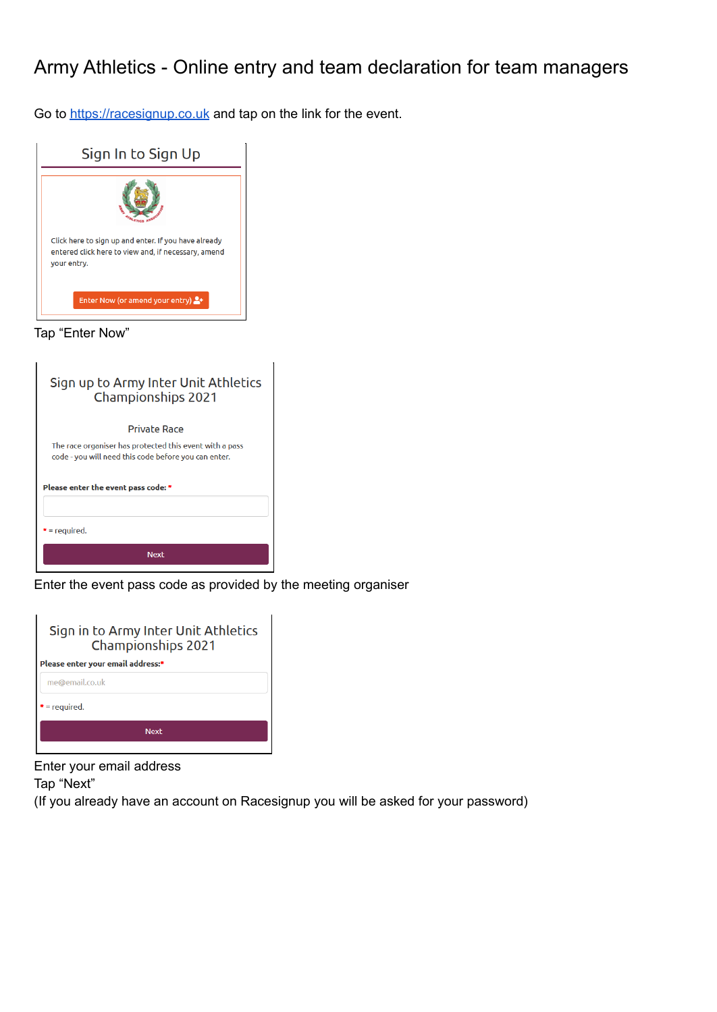## Army Athletics - Online entry and team declaration for team managers

Go to <https://racesignup.co.uk> and tap on the link for the event.



|  | Tap "Enter Now' |  |
|--|-----------------|--|
|--|-----------------|--|

| Sign up to Army Inter Unit Athletics<br><b>Championships 2021</b>                                               |  |  |
|-----------------------------------------------------------------------------------------------------------------|--|--|
| Private Race                                                                                                    |  |  |
| The race organiser has protected this event with a pass<br>code - you will need this code before you can enter. |  |  |
| Please enter the event pass code: *                                                                             |  |  |
| $* = required.$                                                                                                 |  |  |
| <b>Next</b>                                                                                                     |  |  |

Enter the event pass code as provided by the meeting organiser

| Sign in to Army Inter Unit Athletics<br><b>Championships 2021</b> |  |  |
|-------------------------------------------------------------------|--|--|
| Please enter your email address:*                                 |  |  |
| me@email.co.uk                                                    |  |  |
| $=$ required.                                                     |  |  |
| <b>Next</b>                                                       |  |  |

Enter your email address

Tap "Next"

(If you already have an account on Racesignup you will be asked for your password)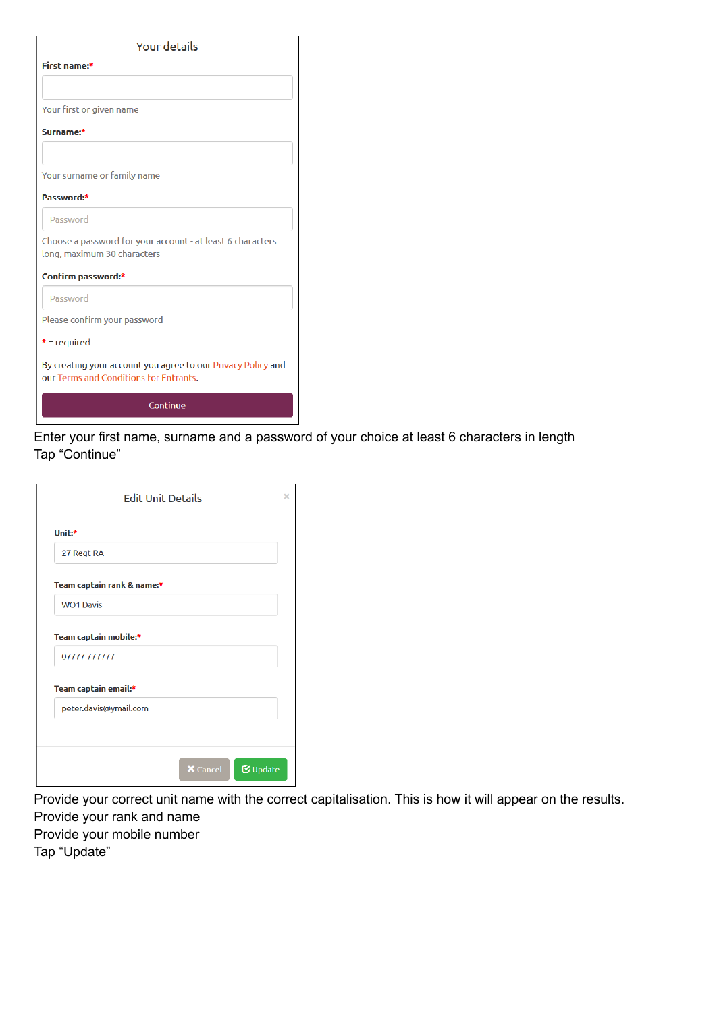| <b>Your details</b>                                                                                    |  |  |
|--------------------------------------------------------------------------------------------------------|--|--|
| First name:*                                                                                           |  |  |
|                                                                                                        |  |  |
| Your first or given name                                                                               |  |  |
| Surname:*                                                                                              |  |  |
|                                                                                                        |  |  |
| Your surname or family name                                                                            |  |  |
| Password:*                                                                                             |  |  |
| Password                                                                                               |  |  |
| Choose a password for your account - at least 6 characters<br>long, maximum 30 characters              |  |  |
| Confirm password:*                                                                                     |  |  |
| Password                                                                                               |  |  |
| Please confirm your password                                                                           |  |  |
| $* = required.$                                                                                        |  |  |
| By creating your account you agree to our Privacy Policy and<br>our Terms and Conditions for Entrants. |  |  |
| Continue                                                                                               |  |  |

Enter your first name, surname and a password of your choice at least 6 characters in length Tap "Continue"

|                                      | <b>Edit Unit Details</b> |  |
|--------------------------------------|--------------------------|--|
| Unit:*                               |                          |  |
| 27 Regt RA                           |                          |  |
| Team captain rank & name:*           |                          |  |
| <b>WO1 Davis</b>                     |                          |  |
| Team captain mobile:*<br>07777777777 |                          |  |
| Team captain email:*                 |                          |  |
| peter.davis@ymail.com                |                          |  |
|                                      |                          |  |
|                                      |                          |  |

Provide your correct unit name with the correct capitalisation. This is how it will appear on the results. Provide your rank and name

Provide your mobile number Tap "Update"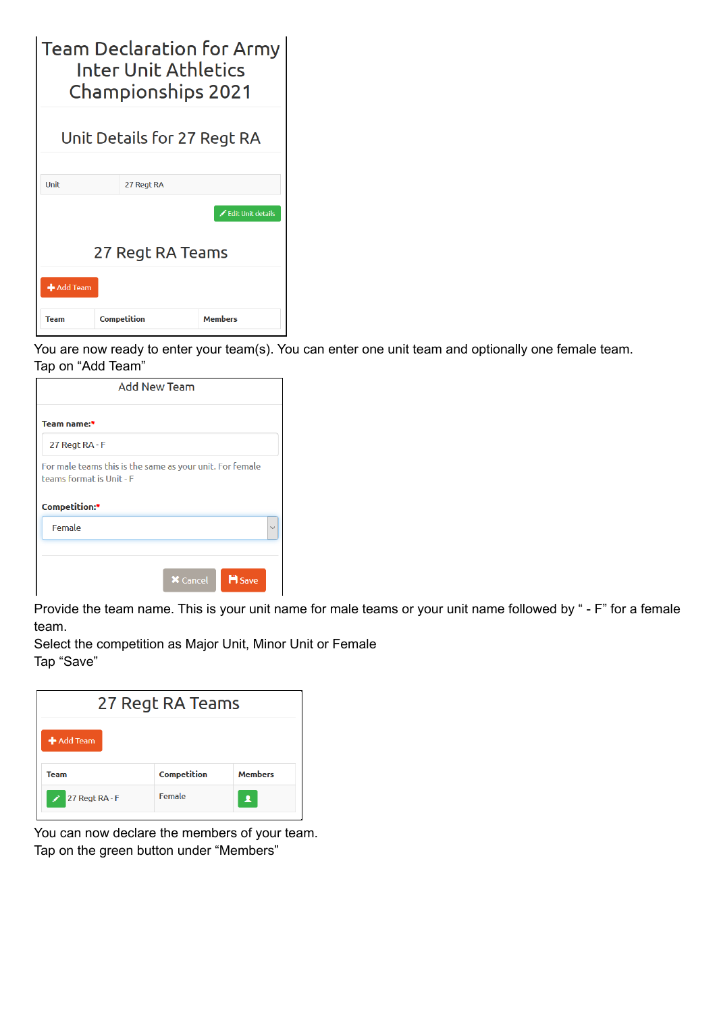| <b>Team Declaration for Army</b><br><b>Inter Unit Athletics</b><br><b>Championships 2021</b> |             |                   |  |
|----------------------------------------------------------------------------------------------|-------------|-------------------|--|
| Unit Details for 27 Regt RA                                                                  |             |                   |  |
| Unit                                                                                         | 27 Regt RA  |                   |  |
|                                                                                              |             | Edit Unit details |  |
| 27 Regt RA Teams                                                                             |             |                   |  |
| $\blacktriangle$ Add Team                                                                    |             |                   |  |
| Team                                                                                         | Competition | <b>Members</b>    |  |

You are now ready to enter your team(s). You can enter one unit team and optionally one female team. Tap on "Add Team"

| <b>Add New Team</b>                                                                                   |                                  |  |
|-------------------------------------------------------------------------------------------------------|----------------------------------|--|
| Team name:*                                                                                           |                                  |  |
| 27 Regt RA - F                                                                                        |                                  |  |
| For male teams this is the same as your unit. For female<br>teams format is Unit - F<br>Competition:* |                                  |  |
| Female                                                                                                |                                  |  |
|                                                                                                       | <b>H</b> Save<br><b>X</b> Cancel |  |

Provide the team name. This is your unit name for male teams or your unit name followed by " - F" for a female team.

Select the competition as Major Unit, Minor Unit or Female Tap "Save"

| 27 Regt RA Teams |                    |                |  |
|------------------|--------------------|----------------|--|
| + Add Team       |                    |                |  |
| <b>Team</b>      | <b>Competition</b> | <b>Members</b> |  |
| 27 Regt RA - F   | Female             | Д              |  |

You can now declare the members of your team. Tap on the green button under "Members"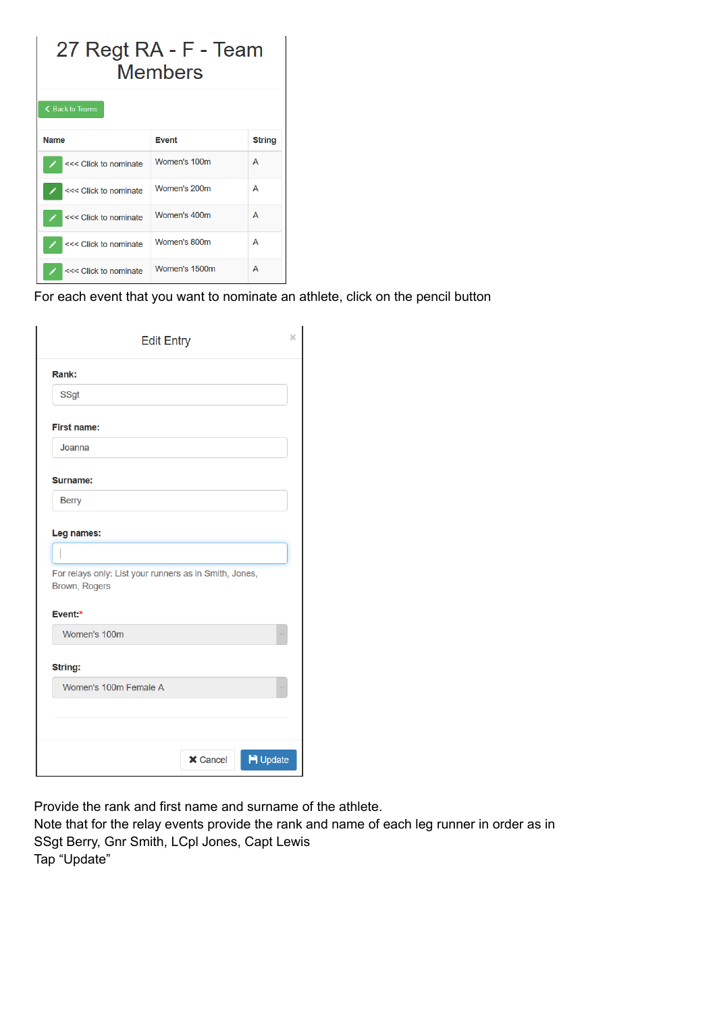| 27 Regt RA - F - Team<br>Members |               |               |  |
|----------------------------------|---------------|---------------|--|
| ← Back to Teams                  |               |               |  |
| <b>Name</b>                      | <b>Event</b>  | <b>String</b> |  |
| <<< Click to nominate            | Women's 100m  | A             |  |
| <<< Click to nominate            | Women's 200m  | A             |  |
| <<< Click to nominate            | Women's 400m  | A             |  |
| <<< Click to nominate            | Women's 800m  | A             |  |
| <<< Click to nominate            | Women's 1500m | A             |  |

For each event that you want to nominate an athlete, click on the pencil button

| <b>Edit Entry</b>                                                                  | ×          |
|------------------------------------------------------------------------------------|------------|
| Rank:                                                                              |            |
| <b>SSgt</b>                                                                        |            |
| <b>First name:</b>                                                                 |            |
| Joanna                                                                             |            |
| Surname:                                                                           |            |
| <b>Berry</b>                                                                       |            |
| For relays only: List your runners as in Smith, Jones,<br>Brown, Rogers<br>Event:* |            |
| Women's 100m                                                                       |            |
| String:                                                                            |            |
| Women's 100m Female A                                                              |            |
|                                                                                    |            |
|                                                                                    |            |
|                                                                                    | $H$ Update |

Provide the rank and first name and surname of the athlete.

Note that for the relay events provide the rank and name of each leg runner in order as in SSgt Berry, Gnr Smith, LCpl Jones, Capt Lewis Tap "Update"